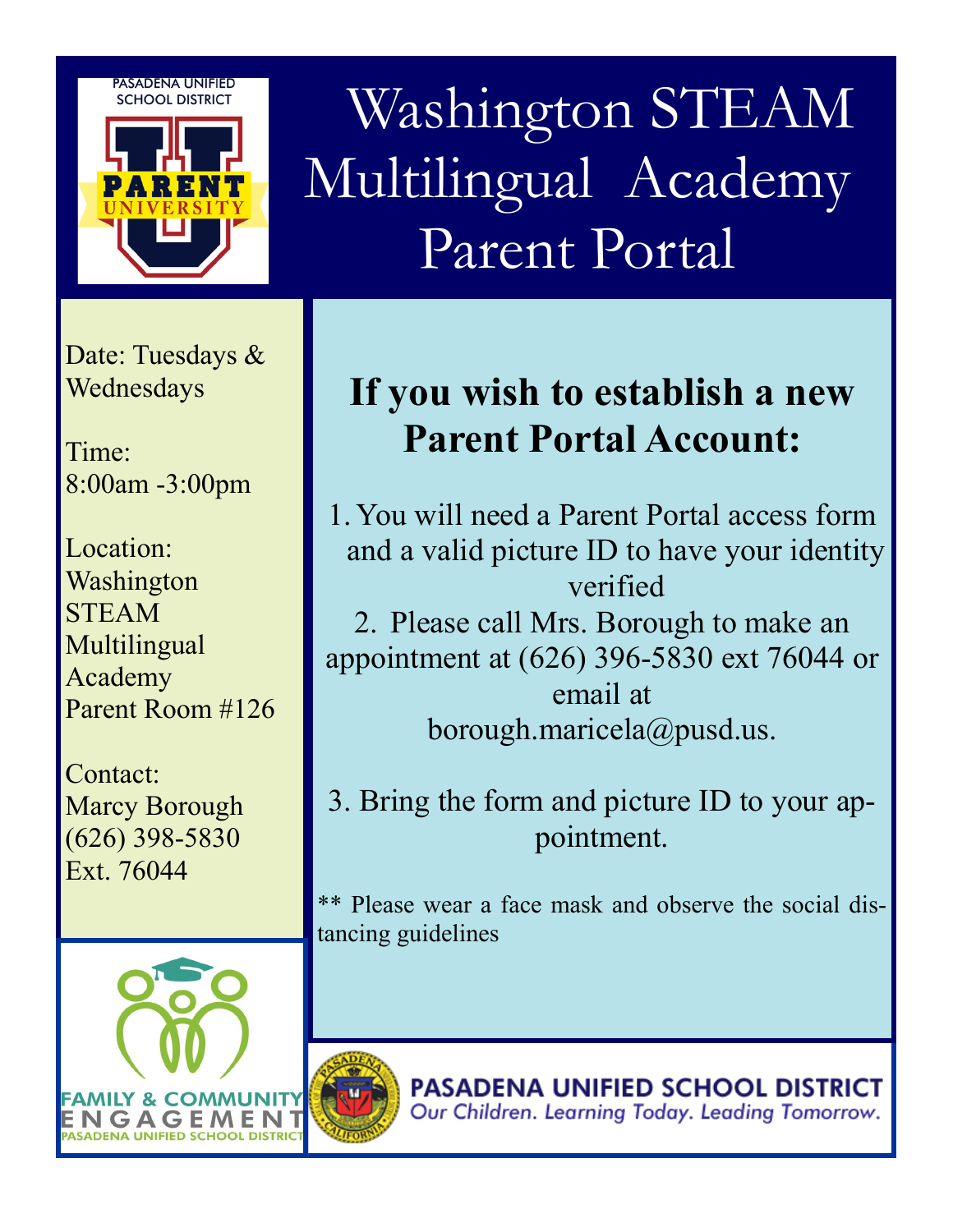**PASADENA UNIFIED SCHOOL DISTRICT** 



 Washington STEAM Multilingual Academy Parent Portal

Date: Tuesdays & Wednesdays

Time: 8:00am -3:00pm

Location: Washington STEAM **Multilingual** Academy Parent Room #126

Contact: Marcy Borough (626) 398-5830 Ext. 76044



## **If you wish to establish a new Parent Portal Account:**

1. You will need a Parent Portal access form and a valid picture ID to have your identity verified 2. Please call Mrs. Borough to make an appointment at (626) 396-5830 ext 76044 or email at borough.maricela@pusd.us.

3. Bring the form and picture ID to your appointment.

\*\* Please wear a face mask and observe the social distancing guidelines

> **PASADENA UNIFIED SCHOOL DISTRICT** Our Children. Learning Today. Leading Tomorrow.